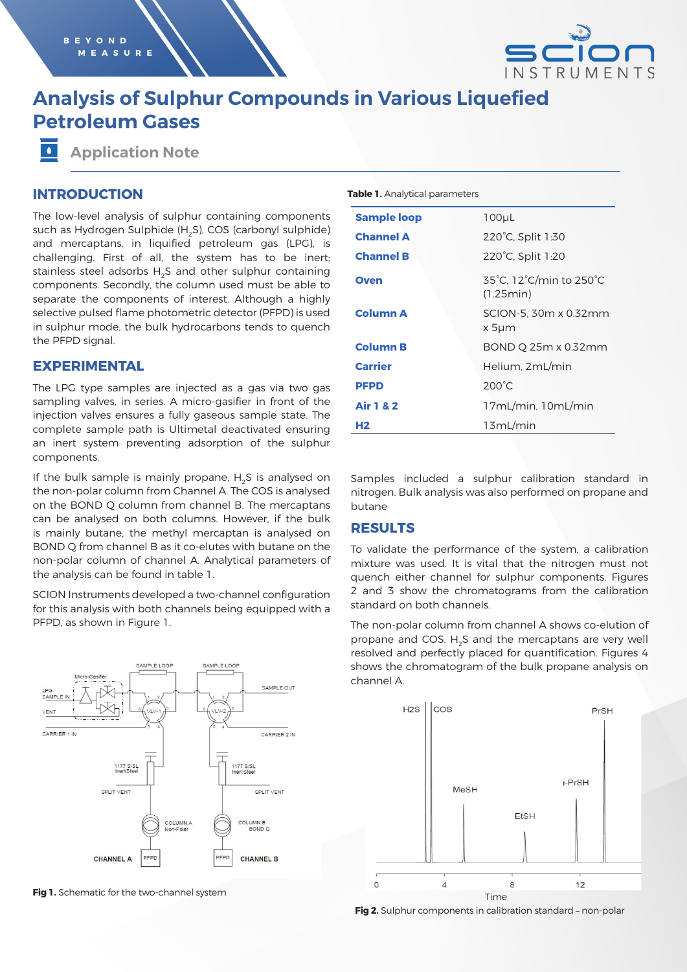

# **Analysis of Sulphur Compounds in Various Liquefied Petroleum Gases**

 $\bullet$ **Application Note**

# **INTRODUCTION**

The low-level analysis of sulphur containing components such as Hydrogen Sulphide (H<sub>2</sub>S), COS (carbonyl sulphide) and mercaptans, in liquified petroleum gas (LPG), is challenging. First of all, the system has to be inert; stainless steel adsorbs H<sub>2</sub>S and other sulphur containing components. Secondly, the column used must be able to separate the components of interest. Although a highly selective pulsed flame photometric detector (PFPD) is used in sulphur mode, the bulk hydrocarbons tends to quench the PFPD signal.

# **EXPERIMENTAL**

The LPG type samples are injected as a gas via two gas sampling valves, in series. A micro-gasifier in front of the injection valves ensures a fully gaseous sample state. The complete sample path is Ultimetal deactivated ensuring an inert system preventing adsorption of the sulphur components.

If the bulk sample is mainly propane, H<sub>2</sub>S is analysed on the non-polar column from Channel A. The COS is analysed on the BOND Q column from channel B. The mercaptans can be analysed on both columns. However, if the bulk is mainly butane, the methyl mercaptan is analysed on BOND Q from channel B as it co-elutes with butane on the non-polar column of channel A. Analytical parameters of the analysis can be found in table 1.

SCION Instruments developed a two-channel configuration for this analysis with both channels being equipped with a PFPD, as shown in Figure 1.



**Fig 1.** Schematic for the two-channel system

### **Table 1.** Analytical parameters

| <b>Sample loop</b>   | $100\mu$ L                           |
|----------------------|--------------------------------------|
| <b>Channel A</b>     | 220°C, Split 1:30                    |
| <b>Channel B</b>     | 220°C, Split 1:20                    |
| <b>Oven</b>          | 35°C, 12°C/min to 250°C<br>(1.25min) |
| <b>Column A</b>      | SCION-5, 30m x 0.32mm<br>x 5µm       |
| <b>Column B</b>      | BOND Q 25m x 0.32mm                  |
| <b>Carrier</b>       | Helium. 2mL/min                      |
| <b>PFPD</b>          | $200^{\circ}$ C                      |
| <b>Air 1 &amp; 2</b> | 17mL/min, 10mL/min                   |
| Н2                   | 13mL/min                             |

Samples included a sulphur calibration standard in nitrogen. Bulk analysis was also performed on propane and butane

# **RESULTS**

To validate the performance of the system, a calibration mixture was used. It is vital that the nitrogen must not quench either channel for sulphur components. Figures 2 and 3 show the chromatograms from the calibration standard on both channels.

The non-polar column from channel A shows co-elution of propane and COS. H2S and the mercaptans are very well resolved and perfectly placed for quantification. Figures 4 shows the chromatogram of the bulk propane analysis on channel A.



**Fig 2.** Sulphur components in calibration standard – non-polar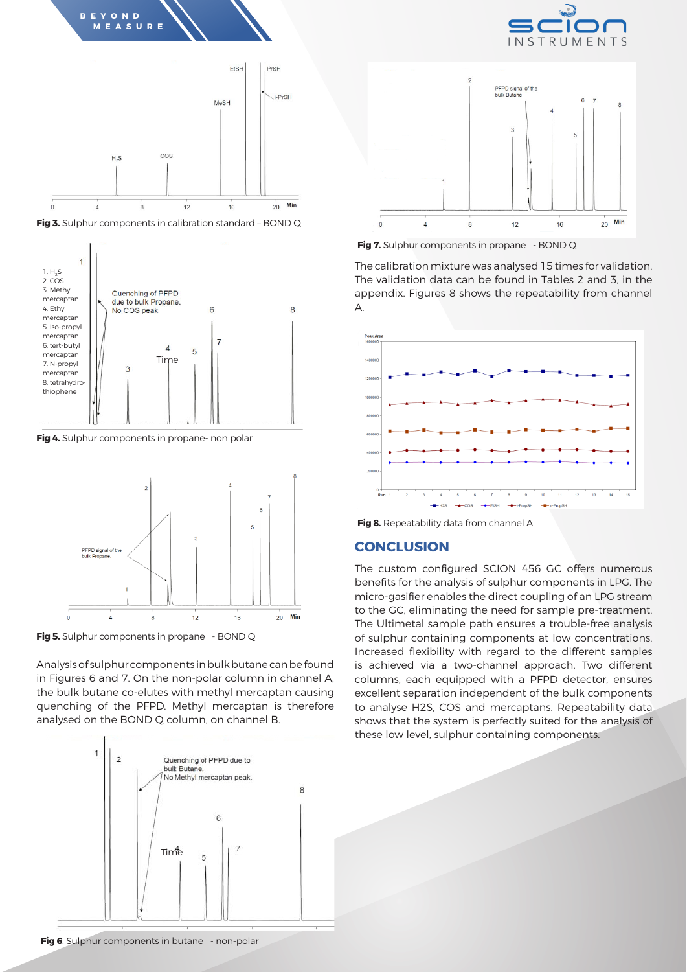







**Fig 4.** Sulphur components in propane- non polar



Fig 5. Sulphur components in propane - BOND Q

Analysis of sulphur components in bulk butane can be found in Figures 6 and 7. On the non-polar column in channel A, the bulk butane co-elutes with methyl mercaptan causing quenching of the PFPD. Methyl mercaptan is therefore analysed on the BOND Q column, on channel B.



**Fig 6**. Sulphur components in butane - non-polar



**Fig 7.** Sulphur components in propane - BOND Q

The calibration mixture was analysed 15 times for validation. The validation data can be found in Tables 2 and 3, in the appendix. Figures 8 shows the repeatability from channel A.



**Fig 8.** Repeatability data from channel A

# **CONCLUSION**

The custom configured SCION 456 GC offers numerous benefits for the analysis of sulphur components in LPG. The micro-gasifier enables the direct coupling of an LPG stream to the GC, eliminating the need for sample pre-treatment. The Ultimetal sample path ensures a trouble-free analysis of sulphur containing components at low concentrations. Increased flexibility with regard to the different samples is achieved via a two-channel approach. Two different columns, each equipped with a PFPD detector, ensures excellent separation independent of the bulk components to analyse H2S, COS and mercaptans. Repeatability data shows that the system is perfectly suited for the analysis of these low level, sulphur containing components.